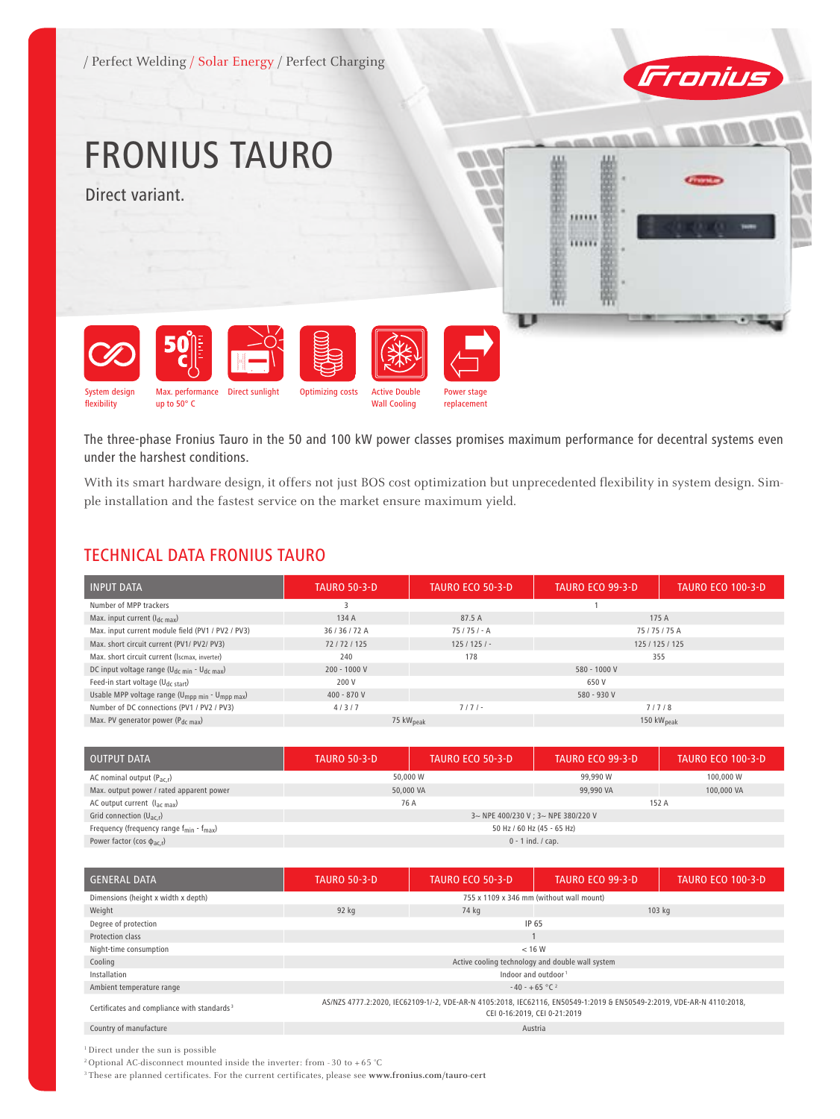

# FRONIUS TAURO

Direct variant.





The three-phase Fronius Tauro in the 50 and 100 kW power classes promises maximum performance for decentral systems even under the harshest conditions.

With its smart hardware design, it offers not just BOS cost optimization but unprecedented flexibility in system design. Simple installation and the fastest service on the market ensure maximum yield.

#### TECHNICAL DATA FRONIUS TAURO

| <b>INPUT DATA</b>                                                       | <b>TAURO 50-3-D</b> | <b>TAURO ECO 50-3-D</b>                         | <b>TAURO ECO 99-3-D</b> | <b>TAURO ECO 100-3-D</b> |
|-------------------------------------------------------------------------|---------------------|-------------------------------------------------|-------------------------|--------------------------|
| Number of MPP trackers                                                  |                     |                                                 |                         |                          |
| Max. input current $(I_{dc\ max})$                                      | 134 A               | 87.5 A                                          |                         | 175 A                    |
| Max. input current module field (PV1 / PV2 / PV3)                       | 36/36/72A           | $75/75/- A$                                     | 75/75/75A               |                          |
| Max. short circuit current (PV1/ PV2/ PV3)                              | 72/72/125           | $125/125/-$                                     | 125 / 125 / 125         |                          |
| Max. short circuit current (Iscmax, inverter)                           | 240                 | 178                                             | 355                     |                          |
| DC input voltage range ( $U_{dc,min}$ - $U_{dc,max}$ )                  | $200 - 1000 V$      | 580 - 1000 V                                    |                         |                          |
| Feed-in start voltage ( $U_{dc\ start}$ )                               | 200 V               | 650 V                                           |                         |                          |
| Usable MPP voltage range (U <sub>mpp min</sub> - U <sub>mpp max</sub> ) | $400 - 870V$        | 580 - 930 V                                     |                         |                          |
| Number of DC connections (PV1 / PV2 / PV3)                              | 4/3/7               | $7/7/-$                                         | 7/7/8                   |                          |
| Max. PV generator power (P <sub>dc max</sub> )                          |                     | 75 kW <sub>peak</sub><br>150 kW <sub>peak</sub> |                         |                          |

| <b>OUTPUT DATA</b>                                             | <b>TAURO 50-3-D</b>                 | <b>TAURO ECO 50-3-D</b> | <b>TAURO ECO 99-3-D</b> | <b>TAURO ECO 100-3-D</b> |  |
|----------------------------------------------------------------|-------------------------------------|-------------------------|-------------------------|--------------------------|--|
| AC nominal output $(P_{\text{ac}})$                            | 50,000 W                            |                         | 99,990 W                | 100,000 W                |  |
| Max. output power / rated apparent power                       | 50,000 VA                           |                         | 99,990 VA               | 100,000 VA               |  |
| AC output current $(l_{ac max})$                               | 76 A                                |                         | 152 A                   |                          |  |
| Grid connection $(U_{ac,r})$                                   | 3~ NPE 400/230 V ; 3~ NPE 380/220 V |                         |                         |                          |  |
| Frequency (frequency range $f_{\text{min}} - f_{\text{max}}$ ) | 50 Hz / 60 Hz (45 - 65 Hz)          |                         |                         |                          |  |
| Power factor (cos $\phi_{ac,r}$ )                              | $0 - 1$ ind. / cap.                 |                         |                         |                          |  |

| <b>GENERAL DATA</b>                                     | <b>TAURO 50-3-D</b>                                                                                                                                   | <b>TAURO ECO 50-3-D</b> | <b>TAURO ECO 99-3-D</b> | <b>TAURO ECO 100-3-D</b> |
|---------------------------------------------------------|-------------------------------------------------------------------------------------------------------------------------------------------------------|-------------------------|-------------------------|--------------------------|
| Dimensions (height x width x depth)                     | 755 x 1109 x 346 mm (without wall mount)                                                                                                              |                         |                         |                          |
| Weight                                                  | 92 kg                                                                                                                                                 | 74 kg                   | 103 kg                  |                          |
| Degree of protection                                    |                                                                                                                                                       | IP 65                   |                         |                          |
| Protection class                                        |                                                                                                                                                       |                         |                         |                          |
| Night-time consumption                                  | < 16 W                                                                                                                                                |                         |                         |                          |
| Cooling                                                 | Active cooling technology and double wall system                                                                                                      |                         |                         |                          |
| Installation                                            | Indoor and outdoor <sup>1</sup>                                                                                                                       |                         |                         |                          |
| Ambient temperature range                               | $-40 - +65$ °C <sup>2</sup>                                                                                                                           |                         |                         |                          |
| Certificates and compliance with standards <sup>3</sup> | AS/NZS 4777.2:2020, IEC62109-1/-2, VDE-AR-N 4105:2018, IEC62116, EN50549-1:2019 & EN50549-2:2019, VDE-AR-N 4110:2018,<br>CEI 0-16:2019, CEI 0-21:2019 |                         |                         |                          |
| Country of manufacture                                  | Austria                                                                                                                                               |                         |                         |                          |

<sup>1</sup> Direct under the sun is possible

<sup>2</sup> Optional AC-disconnect mounted inside the inverter: from - 30 to + 65 °C

3 These are planned certificates. For the current certificates, please see **www.fronius.com/tauro-cert**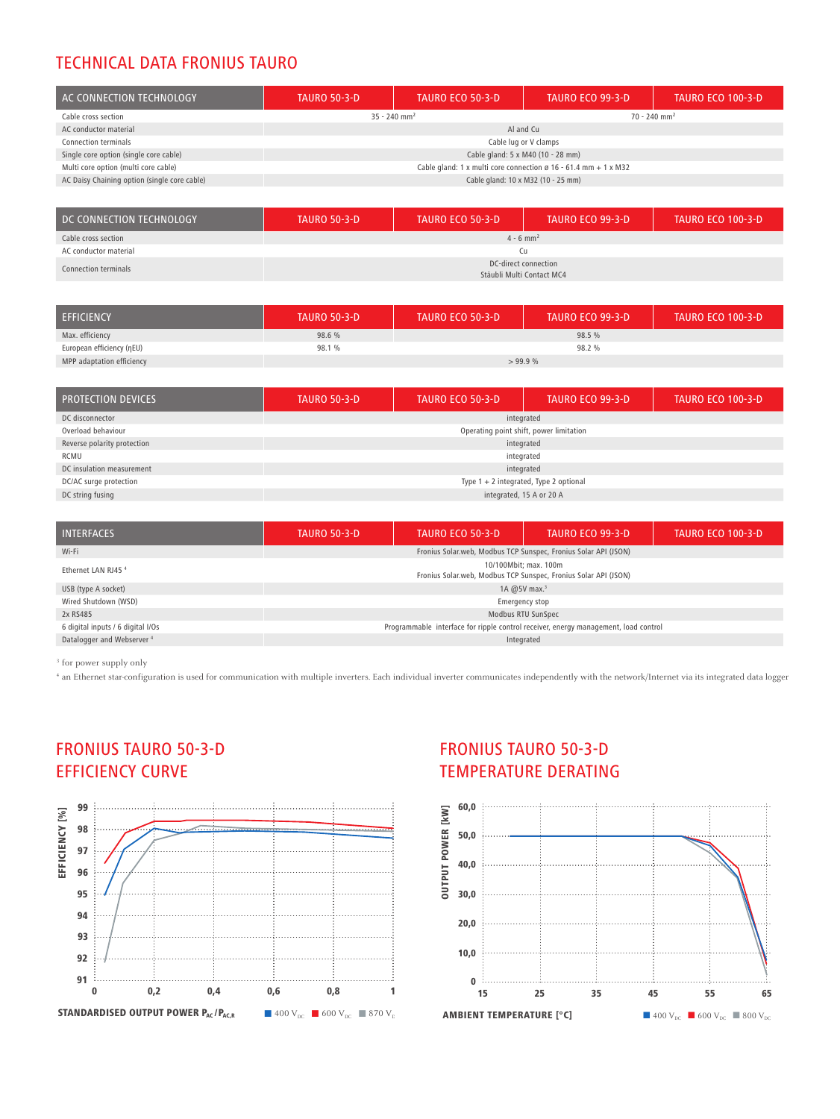# TECHNICAL DATA FRONIUS TAURO

| AC CONNECTION TECHNOLOGY                     | <b>TAURO 50-3-D</b>                                                       | <b>TAURO ECO 50-3-D</b> | TAURO ECO 99-3-D                   | <b>TAURO ECO 100-3-D</b> |
|----------------------------------------------|---------------------------------------------------------------------------|-------------------------|------------------------------------|--------------------------|
| Cable cross section                          | $35 - 240$ mm <sup>2</sup>                                                |                         | $70 - 240$ mm <sup>2</sup>         |                          |
| AC conductor material                        | Al and Cu                                                                 |                         |                                    |                          |
| <b>Connection terminals</b>                  | Cable lug or V clamps                                                     |                         |                                    |                          |
| Single core option (single core cable)       | Cable gland: 5 x M40 (10 - 28 mm)                                         |                         |                                    |                          |
| Multi core option (multi core cable)         | Cable gland: 1 x multi core connection $\emptyset$ 16 - 61.4 mm + 1 x M32 |                         |                                    |                          |
| AC Daisy Chaining option (single core cable) |                                                                           |                         | Cable gland: 10 x M32 (10 - 25 mm) |                          |

| DC CONNECTION TECHNOLOGY | <b>TAURO 50-3-D</b>                               | <b>TAURO ECO 50-3-D</b> | <b>TAURO ECO 99-3-D</b> | <b>TAURO ECO 100-3-D</b> |
|--------------------------|---------------------------------------------------|-------------------------|-------------------------|--------------------------|
| Cable cross section      | $4 - 6$ mm <sup>2</sup>                           |                         |                         |                          |
| AC conductor material    | Сu                                                |                         |                         |                          |
| Connection terminals     | DC-direct connection<br>Stäubli Multi Contact MC4 |                         |                         |                          |

| <b>EFFICIENCY</b>         | <b>TAURO 50-3-D</b> | <b>TAURO ECO 50-3-D</b> | TAURO ECO 99-3-D | <b>TAURO ECO 100-3-D</b> |
|---------------------------|---------------------|-------------------------|------------------|--------------------------|
| Max. efficiency           | 98.6 %              |                         | 98.5 %           |                          |
| European efficiency (nEU) | 98.1 %              | 98.2 %                  |                  |                          |
| MPP adaptation efficiency | >99.9%              |                         |                  |                          |

| <b>PROTECTION DEVICES</b>   | <b>TAURO 50-3-D</b>                      | <b>TAURO ECO 50-3-D</b> | <b>TAURO ECO 99-3-D</b> | <b>TAURO ECO 100-3-D</b> |
|-----------------------------|------------------------------------------|-------------------------|-------------------------|--------------------------|
| DC disconnector             | integrated                               |                         |                         |                          |
| Overload behaviour          | Operating point shift, power limitation  |                         |                         |                          |
| Reverse polarity protection | integrated                               |                         |                         |                          |
| RCMU                        | integrated                               |                         |                         |                          |
| DC insulation measurement   | integrated                               |                         |                         |                          |
| DC/AC surge protection      | Type $1 + 2$ integrated, Type 2 optional |                         |                         |                          |
| DC string fusing            | integrated, 15 A or 20 A                 |                         |                         |                          |

| <b>INTERFACES</b>                     | <b>TAURO 50-3-D</b>                                                                        | <b>TAURO ECO 50-3-D</b> | TAURO ECO 99-3-D | <b>TAURO ECO 100-3-D</b> |
|---------------------------------------|--------------------------------------------------------------------------------------------|-------------------------|------------------|--------------------------|
| Wi-Fi                                 | Fronius Solar.web, Modbus TCP Sunspec, Fronius Solar API (JSON)                            |                         |                  |                          |
| Ethernet LAN RJ45 <sup>4</sup>        | 10/100 Mbit: max. 100 m<br>Fronius Solar.web, Modbus TCP Sunspec, Fronius Solar API (JSON) |                         |                  |                          |
| USB (type A socket)                   | 1A $@5V$ max. <sup>3</sup>                                                                 |                         |                  |                          |
| Wired Shutdown (WSD)                  | Emergency stop                                                                             |                         |                  |                          |
| 2x RS485                              | Modbus RTU SunSpec                                                                         |                         |                  |                          |
| 6 digital inputs / 6 digital I/Os     | Programmable interface for ripple control receiver, energy management, load control        |                         |                  |                          |
| Datalogger and Webserver <sup>4</sup> | Integrated                                                                                 |                         |                  |                          |

<sup>3</sup> for power supply only

<sup>4</sup> an Ethernet star-configuration is used for communication with multiple inverters. Each individual inverter communicates independently with the network/Internet via its integrated data logger

# FRONIUS TAURO 50-3-D EFFICIENCY CURVE



# FRONIUS TAURO 50-3-D TEMPERATURE DERATING

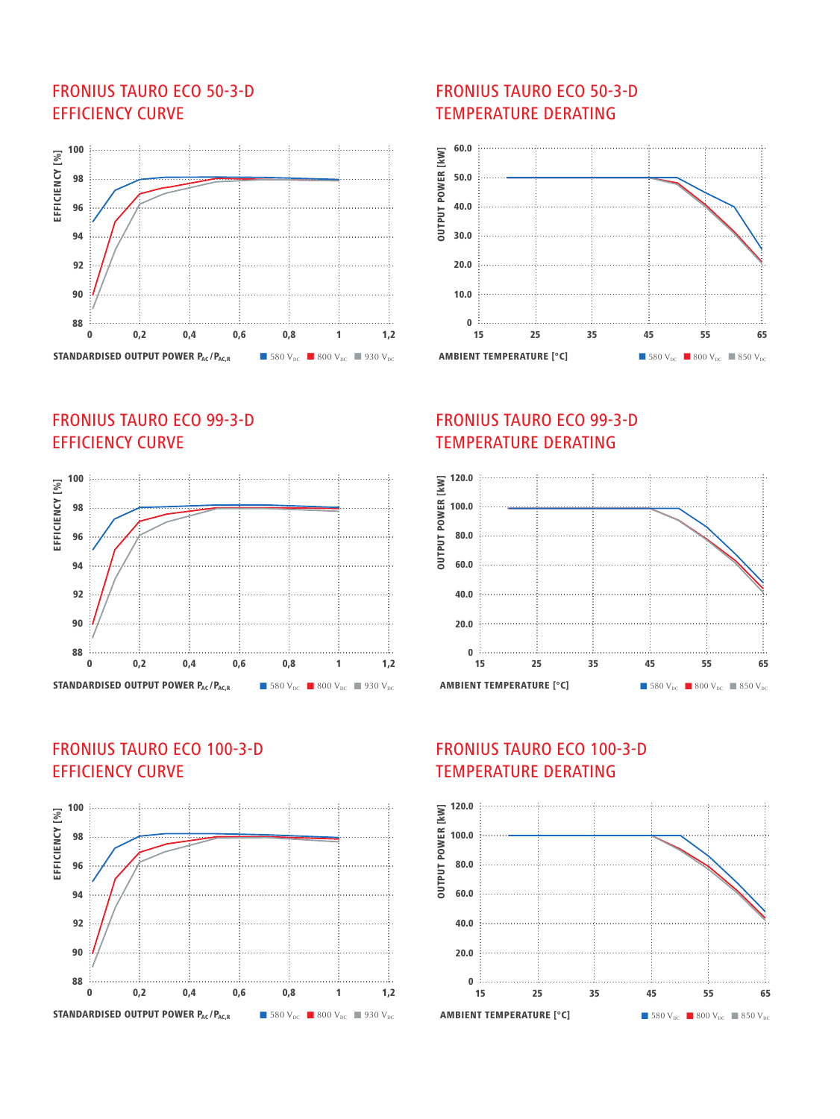# FRONIUS TAURO ECO 50-3-D EFFICIENCY CURVE



# FRONIUS TAURO ECO 99-3-D EFFICIENCY CURVE



### FRONIUS TAURO ECO 100-3-D EFFICIENCY CURVE



#### FRONIUS TAURO ECO 50-3-D TEMPERATURE DERATING



# FRONIUS TAURO ECO 99-3-D TEMPERATURE DERATING



# FRONIUS TAURO ECO 100-3-D TEMPERATURE DERATING